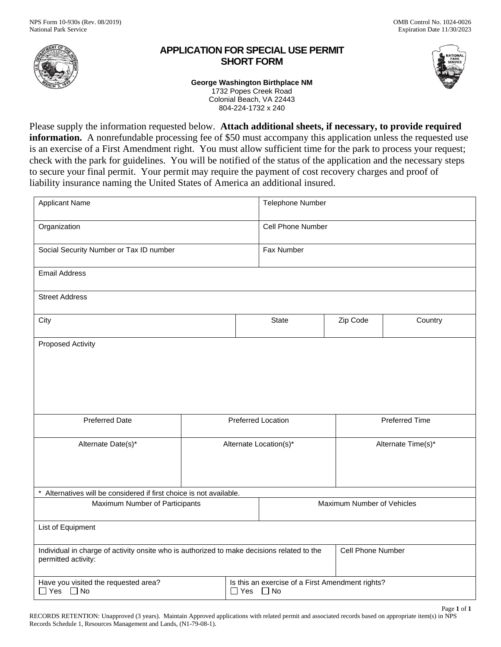

## **APPLICATION FOR SPECIAL USE PERMIT SHORT FORM**



Page **1** of **1** 

**George Washington Birthplace NM** 

1732 Popes Creek Road Colonial Beach, VA 22443 804-224-1732 x 240

 **information.** A nonrefundable processing fee of \$50 must accompany this application unless the requested use Please supply the information requested below. **Attach additional sheets, if necessary, to provide required**  is an exercise of a First Amendment right. You must allow sufficient time for the park to process your request; check with the park for guidelines. You will be notified of the status of the application and the necessary steps to secure your final permit. Your permit may require the payment of cost recovery charges and proof of liability insurance naming the United States of America an additional insured.

| <b>Applicant Name</b>                                                                                             |                        | Telephone Number                                                         |                       |         |  |
|-------------------------------------------------------------------------------------------------------------------|------------------------|--------------------------------------------------------------------------|-----------------------|---------|--|
| Organization                                                                                                      |                        | Cell Phone Number                                                        |                       |         |  |
| Social Security Number or Tax ID number                                                                           |                        | Fax Number                                                               |                       |         |  |
| <b>Email Address</b>                                                                                              |                        |                                                                          |                       |         |  |
| <b>Street Address</b>                                                                                             |                        |                                                                          |                       |         |  |
| City                                                                                                              |                        | <b>State</b>                                                             | Zip Code              | Country |  |
| <b>Proposed Activity</b>                                                                                          |                        |                                                                          |                       |         |  |
| <b>Preferred Date</b>                                                                                             | Preferred Location     |                                                                          | <b>Preferred Time</b> |         |  |
| Alternate Date(s)*                                                                                                | Alternate Location(s)* |                                                                          | Alternate Time(s)*    |         |  |
| * Alternatives will be considered if first choice is not available.                                               |                        |                                                                          |                       |         |  |
| Maximum Number of Participants                                                                                    |                        | Maximum Number of Vehicles                                               |                       |         |  |
| List of Equipment                                                                                                 |                        |                                                                          |                       |         |  |
| Individual in charge of activity onsite who is authorized to make decisions related to the<br>permitted activity: |                        | Cell Phone Number                                                        |                       |         |  |
| Have you visited the requested area?<br>$\Box$ Yes $\Box$ No                                                      |                        | Is this an exercise of a First Amendment rights?<br>$\Box$ Yes $\Box$ No |                       |         |  |

RECORDS RETENTION: Unapproved (3 years). Maintain Approved applications with related permit and associated records based on appropriate item(s) in NPS Records Schedule 1, Resources Management and Lands, (N1-79-08-1).